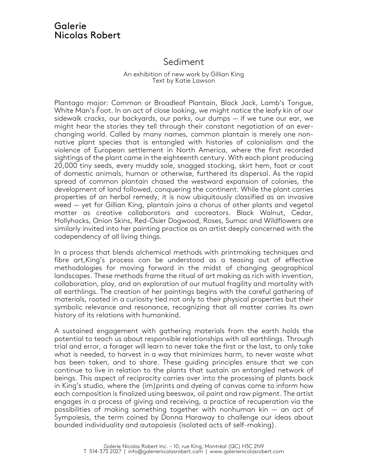## Galerie Nicolas Robert

## Sediment

## An exhibition of new work by Gillian King Text by Katie Lawson

Plantago major: Common or Broadleaf Plantain, Black Jack, Lamb's Tongue, White Man's Foot. In an act of close looking, we might notice the leafy kin of our sidewalk cracks, our backyards, our parks, our dumps — if we tune our ear, we might hear the stories they tell through their constant negotiation of an everchanging world. Called by many names, common plantain is merely one nonnative plant species that is entangled with histories of colonialism and the violence of European settlement in North America, where the first recorded sightings of the plant came in the eighteenth century. With each plant producing 20,000 tiny seeds, every muddy sole, snagged stocking, skirt hem, foot or coat of domestic animals, human or otherwise, furthered its dispersal. As the rapid spread of common plantain chased the westward expansion of colonies, the development of land followed, conquering the continent. While the plant carries properties of an herbal remedy, it is now ubiquitously classified as an invasive weed — yet for Gillian King, plantain joins a chorus of other plants and vegetal matter as creative collaborators and cocreators. Black Walnut, Cedar, Hollyhocks, Onion Skins, Red-Osier Dogwood, Roses, Sumac and Wildflowers are similarly invited into her painting practice as an artist deeply concerned with the codependency of all living things.

In a process that blends alchemical methods with printmaking techniques and fibre art,King's process can be understood as a teasing out of effective methodologies for moving forward in the midst of changing geographical landscapes. These methods frame the ritual of art making as rich with invention, collaboration, play, and an exploration of our mutual fragility and mortality with all earthlings. The creation of her paintings begins with the careful gathering of materials, rooted in a curiosity tied not only to their physical properties but their symbolic relevance and resonance, recognizing that all matter carries its own history of its relations with humankind.

A sustained engagement with gathering materials from the earth holds the potential to teach us about responsible relationships with all earthlings. Through trial and error, a forager will learn to never take the first or the last, to only take what is needed, to harvest in a way that minimizes harm, to never waste what has been taken, and to share. These guiding principles ensure that we can continue to live in relation to the plants that sustain an entangled network of beings. This aspect of reciprocity carries over into the processing of plants back in King's studio, where the (im)prints and dyeing of canvas come to inform how each composition is finalized using beeswax, oil paint and raw pigment. The artist engages in a process of giving and receiving, a practice of recuperation via the possibilities of making something together with nonhuman kin — an act of Sympoiesis, the term coined by Donna Haraway to challenge our ideas about bounded individuality and autopoiesis (isolated acts of self-making).